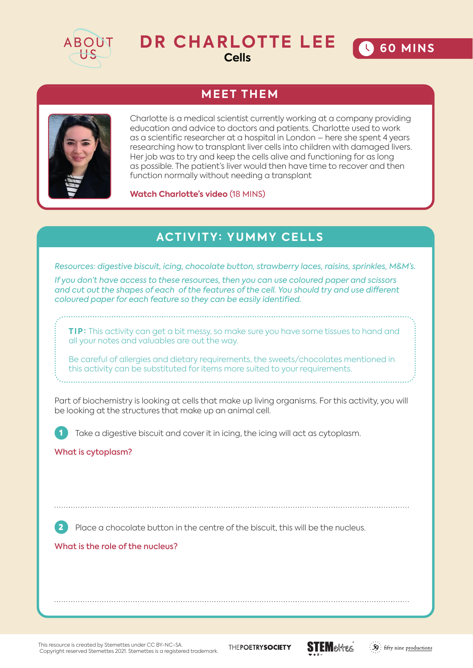

## **DR CHARLOTTE LEE Cells**



# **MEET THEM**



Charlotte is a medical scientist currently working at a company providing education and advice to doctors and patients. Charlotte used to work as a scientific researcher at a hospital in London – here she spent 4 years researching how to transplant liver cells into children with damaged livers. Her job was to try and keep the cells alive and functioning for as long as possible. The patient's liver would then have time to recover and then function normally without needing a transplant

**Watch Charlotte's video** (18 MINS)

## **ACTIVITY: YUMMY CELLS**

| Resources: digestive biscuit, icing, chocolate button, strawberry laces, raisins, sprinkles, M&M's.<br>If you don't have access to these resources, then you can use coloured paper and scissors<br>and cut out the shapes of each of the features of the cell. You should try and use different<br>coloured paper for each feature so they can be easily identified. |
|-----------------------------------------------------------------------------------------------------------------------------------------------------------------------------------------------------------------------------------------------------------------------------------------------------------------------------------------------------------------------|
| TIP: This activity can get a bit messy, so make sure you have some tissues to hand and<br>all your notes and valuables are out the way.<br>Be careful of allergies and dietary requirements, the sweets/chocolates mentioned in<br>this activity can be substituted for items more suited to your requirements.                                                       |
| Part of biochemistry is looking at cells that make up living organisms. For this activity, you will<br>be looking at the structures that make up an animal cell.<br>Take a digestive biscuit and cover it in icing, the icing will act as cytoplasm.<br>What is cytoplasm?                                                                                            |
| Place a chocolate button in the centre of the biscuit, this will be the nucleus.<br>What is the role of the nucleus?                                                                                                                                                                                                                                                  |
|                                                                                                                                                                                                                                                                                                                                                                       |

This resource is created by Stemettes under CC BY-NC-SA. Copyright reserved Stemettes 2021. Stemettes is a registered trademark.

THEPOETRYSOCIETY